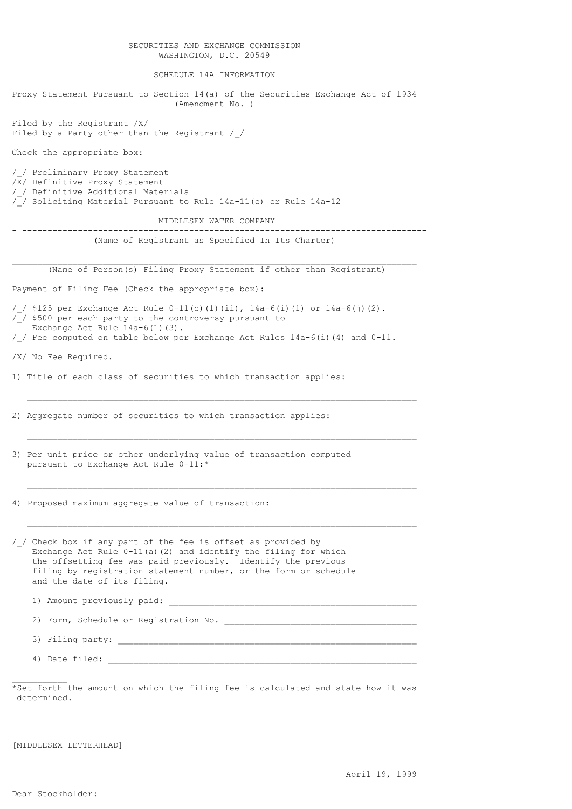# SECURITIES AND EXCHANGE COMMISSION WASHINGTON, D.C. 20549

SCHEDULE 14A INFORMATION

Proxy Statement Pursuant to Section 14(a) of the Securities Exchange Act of 1934 (Amendment No. ) Filed by the Registrant /X/ Filed by a Party other than the Registrant / / Check the appropriate box: /\_/ Preliminary Proxy Statement /X/ Definitive Proxy Statement /\_/ Definitive Additional Materials  $\sqrt{ }$  Soliciting Material Pursuant to Rule 14a-11(c) or Rule 14a-12 MIDDLESEX WATER COMPANY - -------------------------------------------------------------------------------- (Name of Registrant as Specified In Its Charter)  $\_$  , and the set of the set of the set of the set of the set of the set of the set of the set of the set of the set of the set of the set of the set of the set of the set of the set of the set of the set of the set of th (Name of Person(s) Filing Proxy Statement if other than Registrant) Payment of Filing Fee (Check the appropriate box): /\_/ \$125 per Exchange Act Rule 0-11(c)(1)(ii), 14a-6(i)(1) or 14a-6(j)(2).  $\sqrt{7}$  \$500 per each party to the controversy pursuant to Exchange Act Rule 14a-6(1)(3). /\_/ Fee computed on table below per Exchange Act Rules 14a-6(i)(4) and 0-11. /X/ No Fee Required. 1) Title of each class of securities to which transaction applies:  $\mathcal{L}_\text{max}$  , and the contribution of the contribution of the contribution of the contribution of the contribution of the contribution of the contribution of the contribution of the contribution of the contribution of t 2) Aggregate number of securities to which transaction applies:  $\mathcal{L}_\text{max}$  , and the contribution of the contribution of the contribution of the contribution of the contribution of the contribution of the contribution of the contribution of the contribution of the contribution of t 3) Per unit price or other underlying value of transaction computed pursuant to Exchange Act Rule 0-11:\*  $\mathcal{L}_\text{max}$  , and the contribution of the contribution of the contribution of the contribution of the contribution of the contribution of the contribution of the contribution of the contribution of the contribution of t 4) Proposed maximum aggregate value of transaction:  $\mathcal{L}_\text{max}$  , and the contribution of the contribution of the contribution of the contribution of the contribution of the contribution of the contribution of the contribution of the contribution of the contribution of t /\_/ Check box if any part of the fee is offset as provided by Exchange Act Rule 0-11(a)(2) and identify the filing for which the offsetting fee was paid previously. Identify the previous filing by registration statement number, or the form or schedule and the date of its filing. 1) Amount previously paid: 2) Form, Schedule or Registration No. \_\_\_\_\_\_\_\_\_\_\_\_\_\_\_\_\_\_\_\_\_\_\_\_\_\_\_\_\_\_\_\_\_\_\_\_\_\_ 3) Filing party: \_\_\_\_\_\_\_\_\_\_\_\_\_\_\_\_\_\_\_\_\_\_\_\_\_\_\_\_\_\_\_\_\_\_\_\_\_\_\_\_\_\_\_\_\_\_\_\_\_\_\_\_\_\_\_\_\_\_\_ 4) Date filed:  $\overline{\phantom{a}}$ 

\*Set forth the amount on which the filing fee is calculated and state how it was determined.

[MIDDLESEX LETTERHEAD]

 $\mathcal{L}=\mathcal{L}^{\mathcal{L}}$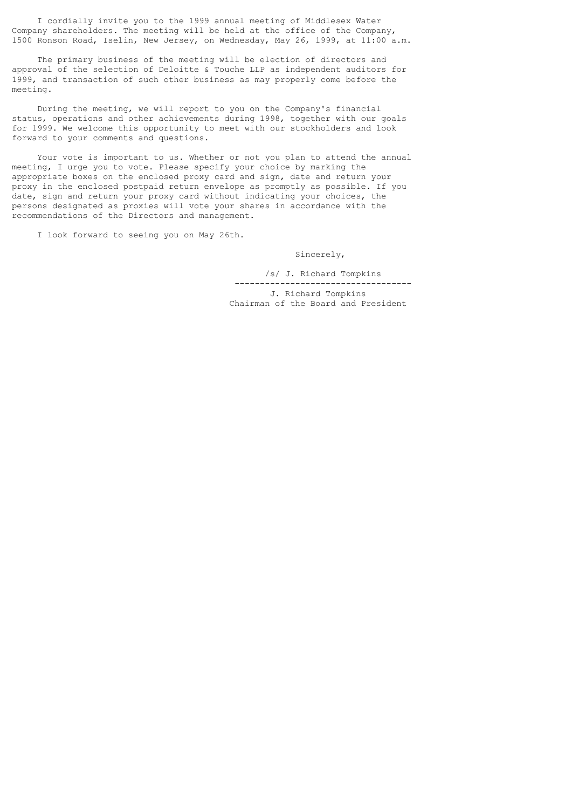I cordially invite you to the 1999 annual meeting of Middlesex Water Company shareholders. The meeting will be held at the office of the Company, 1500 Ronson Road, Iselin, New Jersey, on Wednesday, May 26, 1999, at 11:00 a.m.

 The primary business of the meeting will be election of directors and approval of the selection of Deloitte & Touche LLP as independent auditors for 1999, and transaction of such other business as may properly come before the meeting.

 During the meeting, we will report to you on the Company's financial status, operations and other achievements during 1998, together with our goals for 1999. We welcome this opportunity to meet with our stockholders and look forward to your comments and questions.

 Your vote is important to us. Whether or not you plan to attend the annual meeting, I urge you to vote. Please specify your choice by marking the appropriate boxes on the enclosed proxy card and sign, date and return your proxy in the enclosed postpaid return envelope as promptly as possible. If you date, sign and return your proxy card without indicating your choices, the persons designated as proxies will vote your shares in accordance with the recommendations of the Directors and management.

I look forward to seeing you on May 26th.

Sincerely,

 /s/ J. Richard Tompkins -----------------------------------

 J. Richard Tompkins Chairman of the Board and President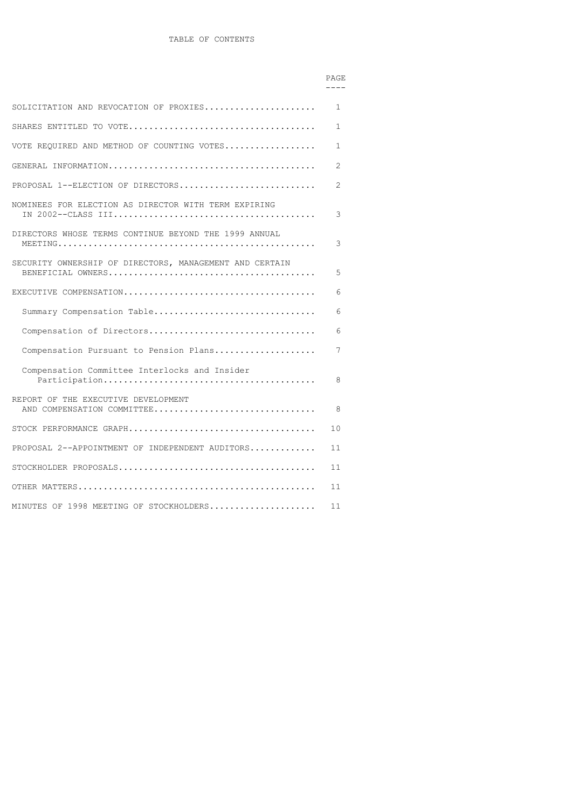| SOLICITATION AND REVOCATION OF PROXIES                            | 1            |
|-------------------------------------------------------------------|--------------|
|                                                                   | $\mathbf{1}$ |
| VOTE REQUIRED AND METHOD OF COUNTING VOTES                        | 1            |
|                                                                   | 2            |
| PROPOSAL $1$ --ELECTION OF DIRECTORS                              | 2            |
| NOMINEES FOR ELECTION AS DIRECTOR WITH TERM EXPIRING              | 3            |
| DIRECTORS WHOSE TERMS CONTINUE BEYOND THE 1999 ANNUAL             | 3            |
| SECURITY OWNERSHIP OF DIRECTORS, MANAGEMENT AND CERTAIN           | 5            |
|                                                                   | 6            |
| Summary Compensation Table                                        | 6            |
| Compensation of Directors                                         | 6            |
| Compensation Pursuant to Pension Plans                            | 7            |
| Compensation Committee Interlocks and Insider                     | 8            |
| REPORT OF THE EXECUTIVE DEVELOPMENT<br>AND COMPENSATION COMMITTEE | 8            |
|                                                                   | 10           |
| PROPOSAL 2--APPOINTMENT OF INDEPENDENT AUDITORS                   | 11           |
|                                                                   | 11           |
|                                                                   | 11           |
| MINUTES OF 1998 MEETING OF STOCKHOLDERS                           | 11           |

# en de la provincia de la provincia de la provincia de la provincia de la provincia de la provincia de la provi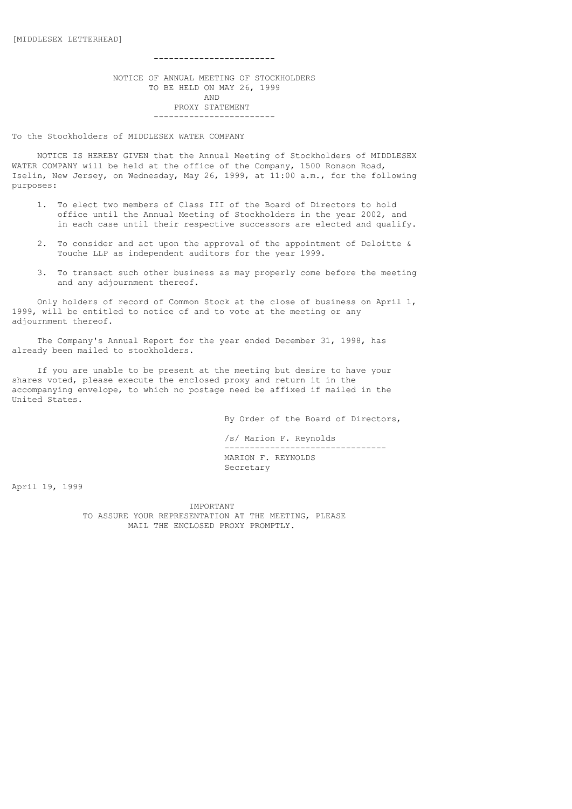------------------------

 NOTICE OF ANNUAL MEETING OF STOCKHOLDERS TO BE HELD ON MAY 26, 1999 AND PROXY STATEMENT ------------------------

To the Stockholders of MIDDLESEX WATER COMPANY

 NOTICE IS HEREBY GIVEN that the Annual Meeting of Stockholders of MIDDLESEX WATER COMPANY will be held at the office of the Company, 1500 Ronson Road, Iselin, New Jersey, on Wednesday, May 26, 1999, at 11:00 a.m., for the following purposes:

- 1. To elect two members of Class III of the Board of Directors to hold office until the Annual Meeting of Stockholders in the year 2002, and in each case until their respective successors are elected and qualify.
- 2. To consider and act upon the approval of the appointment of Deloitte & Touche LLP as independent auditors for the year 1999.
- 3. To transact such other business as may properly come before the meeting and any adjournment thereof.

 Only holders of record of Common Stock at the close of business on April 1, 1999, will be entitled to notice of and to vote at the meeting or any adjournment thereof.

 The Company's Annual Report for the year ended December 31, 1998, has already been mailed to stockholders.

 If you are unable to be present at the meeting but desire to have your shares voted, please execute the enclosed proxy and return it in the accompanying envelope, to which no postage need be affixed if mailed in the United States.

By Order of the Board of Directors,

 /s/ Marion F. Reynolds -------------------------------- MARION F. REYNOLDS Secretary

April 19, 1999

 IMPORTANT TO ASSURE YOUR REPRESENTATION AT THE MEETING, PLEASE MAIL THE ENCLOSED PROXY PROMPTLY.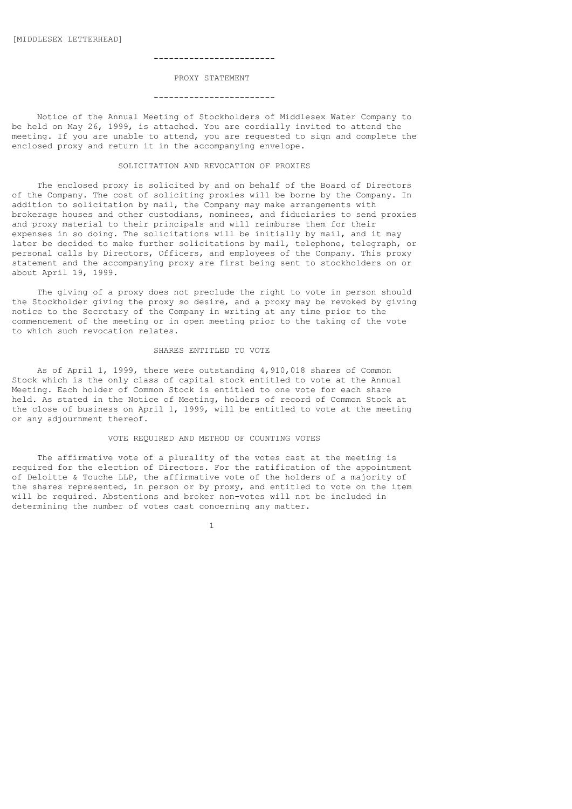#### ------------------------

### PROXY STATEMENT

#### ------------------------

 Notice of the Annual Meeting of Stockholders of Middlesex Water Company to be held on May 26, 1999, is attached. You are cordially invited to attend the meeting. If you are unable to attend, you are requested to sign and complete the enclosed proxy and return it in the accompanying envelope.

### SOLICITATION AND REVOCATION OF PROXIES

 The enclosed proxy is solicited by and on behalf of the Board of Directors of the Company. The cost of soliciting proxies will be borne by the Company. In addition to solicitation by mail, the Company may make arrangements with brokerage houses and other custodians, nominees, and fiduciaries to send proxies and proxy material to their principals and will reimburse them for their expenses in so doing. The solicitations will be initially by mail, and it may later be decided to make further solicitations by mail, telephone, telegraph, or personal calls by Directors, Officers, and employees of the Company. This proxy statement and the accompanying proxy are first being sent to stockholders on or about April 19, 1999.

 The giving of a proxy does not preclude the right to vote in person should the Stockholder giving the proxy so desire, and a proxy may be revoked by giving notice to the Secretary of the Company in writing at any time prior to the commencement of the meeting or in open meeting prior to the taking of the vote to which such revocation relates.

#### SHARES ENTITLED TO VOTE

 As of April 1, 1999, there were outstanding 4,910,018 shares of Common Stock which is the only class of capital stock entitled to vote at the Annual Meeting. Each holder of Common Stock is entitled to one vote for each share held. As stated in the Notice of Meeting, holders of record of Common Stock at the close of business on April 1, 1999, will be entitled to vote at the meeting or any adjournment thereof.

### VOTE REQUIRED AND METHOD OF COUNTING VOTES

 The affirmative vote of a plurality of the votes cast at the meeting is required for the election of Directors. For the ratification of the appointment of Deloitte & Touche LLP, the affirmative vote of the holders of a majority of the shares represented, in person or by proxy, and entitled to vote on the item will be required. Abstentions and broker non-votes will not be included in determining the number of votes cast concerning any matter.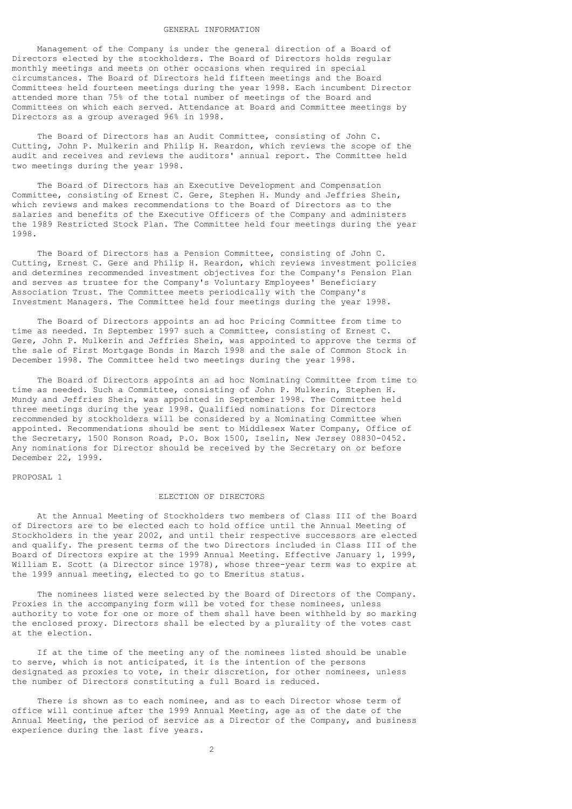#### GENERAL INFORMATION

 Management of the Company is under the general direction of a Board of Directors elected by the stockholders. The Board of Directors holds regular monthly meetings and meets on other occasions when required in special circumstances. The Board of Directors held fifteen meetings and the Board Committees held fourteen meetings during the year 1998. Each incumbent Director attended more than 75% of the total number of meetings of the Board and Committees on which each served. Attendance at Board and Committee meetings by Directors as a group averaged 96% in 1998.

 The Board of Directors has an Audit Committee, consisting of John C. Cutting, John P. Mulkerin and Philip H. Reardon, which reviews the scope of the audit and receives and reviews the auditors' annual report. The Committee held two meetings during the year 1998.

 The Board of Directors has an Executive Development and Compensation Committee, consisting of Ernest C. Gere, Stephen H. Mundy and Jeffries Shein, which reviews and makes recommendations to the Board of Directors as to the salaries and benefits of the Executive Officers of the Company and administers the 1989 Restricted Stock Plan. The Committee held four meetings during the year 1998.

 The Board of Directors has a Pension Committee, consisting of John C. Cutting, Ernest C. Gere and Philip H. Reardon, which reviews investment policies and determines recommended investment objectives for the Company's Pension Plan and serves as trustee for the Company's Voluntary Employees' Beneficiary Association Trust. The Committee meets periodically with the Company's Investment Managers. The Committee held four meetings during the year 1998.

 The Board of Directors appoints an ad hoc Pricing Committee from time to time as needed. In September 1997 such a Committee, consisting of Ernest C. Gere, John P. Mulkerin and Jeffries Shein, was appointed to approve the terms of the sale of First Mortgage Bonds in March 1998 and the sale of Common Stock in December 1998. The Committee held two meetings during the year 1998.

 The Board of Directors appoints an ad hoc Nominating Committee from time to time as needed. Such a Committee, consisting of John P. Mulkerin, Stephen H. Mundy and Jeffries Shein, was appointed in September 1998. The Committee held three meetings during the year 1998. Qualified nominations for Directors recommended by stockholders will be considered by a Nominating Committee when appointed. Recommendations should be sent to Middlesex Water Company, Office of the Secretary, 1500 Ronson Road, P.O. Box 1500, Iselin, New Jersey 08830-0452. Any nominations for Director should be received by the Secretary on or before December 22, 1999.

PROPOSAL 1

#### ELECTION OF DIRECTORS

 At the Annual Meeting of Stockholders two members of Class III of the Board of Directors are to be elected each to hold office until the Annual Meeting of Stockholders in the year 2002, and until their respective successors are elected and qualify. The present terms of the two Directors included in Class III of the Board of Directors expire at the 1999 Annual Meeting. Effective January 1, 1999, William E. Scott (a Director since 1978), whose three-year term was to expire at the 1999 annual meeting, elected to go to Emeritus status.

 The nominees listed were selected by the Board of Directors of the Company. Proxies in the accompanying form will be voted for these nominees, unless authority to vote for one or more of them shall have been withheld by so marking the enclosed proxy. Directors shall be elected by a plurality of the votes cast at the election.

 If at the time of the meeting any of the nominees listed should be unable to serve, which is not anticipated, it is the intention of the persons designated as proxies to vote, in their discretion, for other nominees, unless the number of Directors constituting a full Board is reduced.

 There is shown as to each nominee, and as to each Director whose term of office will continue after the 1999 Annual Meeting, age as of the date of the Annual Meeting, the period of service as a Director of the Company, and business experience during the last five years.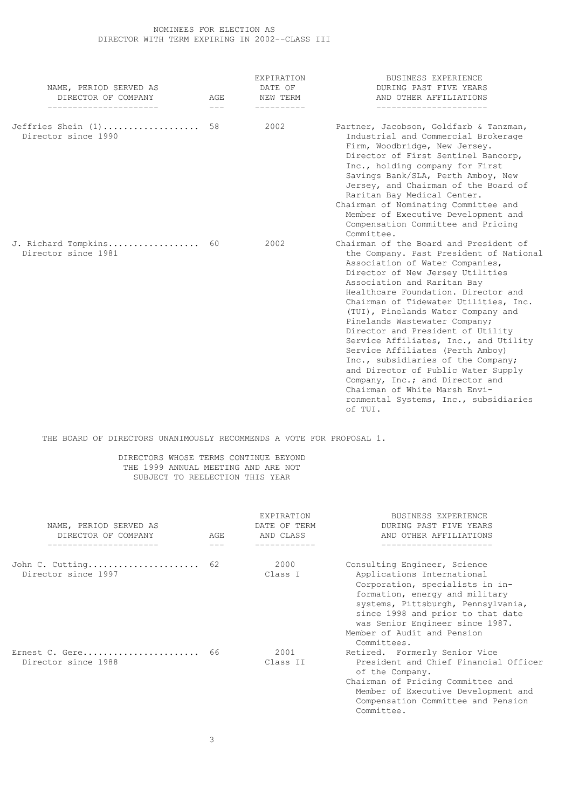# NOMINEES FOR ELECTION AS DIRECTOR WITH TERM EXPIRING IN 2002--CLASS III

| NAME, PERIOD SERVED AS<br>DIRECTOR OF COMPANY<br>----------------------- | AGE<br>$---$ | <b>EXPIRATION</b><br>DATE OF<br>NEW TERM<br>----------- | <b>BUSINESS EXPERIENCE</b><br>DURING PAST FIVE YEARS<br>AND OTHER AFFILIATIONS<br>-----------------------                                                                                                                                                                                                                                                                                                                                                                                                                                                                                                                                                             |
|--------------------------------------------------------------------------|--------------|---------------------------------------------------------|-----------------------------------------------------------------------------------------------------------------------------------------------------------------------------------------------------------------------------------------------------------------------------------------------------------------------------------------------------------------------------------------------------------------------------------------------------------------------------------------------------------------------------------------------------------------------------------------------------------------------------------------------------------------------|
| Jeffries Shein (1)<br>Director since 1990                                | 58           | 2002                                                    | Partner, Jacobson, Goldfarb & Tanzman,<br>Industrial and Commercial Brokerage<br>Firm, Woodbridge, New Jersey.<br>Director of First Sentinel Bancorp,<br>Inc., holding company for First<br>Savings Bank/SLA, Perth Amboy, New<br>Jersey, and Chairman of the Board of<br>Raritan Bay Medical Center.<br>Chairman of Nominating Committee and<br>Member of Executive Development and<br>Compensation Committee and Pricing<br>Committee.                                                                                                                                                                                                                              |
| J. Richard Tompkins 60<br>Director since 1981                            |              | 2002                                                    | Chairman of the Board and President of<br>the Company. Past President of National<br>Association of Water Companies,<br>Director of New Jersey Utilities<br>Association and Raritan Bay<br>Healthcare Foundation. Director and<br>Chairman of Tidewater Utilities, Inc.<br>(TUI), Pinelands Water Company and<br>Pinelands Wastewater Company;<br>Director and President of Utility<br>Service Affiliates, Inc., and Utility<br>Service Affiliates (Perth Amboy)<br>Inc., subsidiaries of the Company;<br>and Director of Public Water Supply<br>Company, Inc.; and Director and<br>Chairman of White Marsh Envi-<br>ronmental Systems, Inc., subsidiaries<br>of TUI. |

THE BOARD OF DIRECTORS UNANIMOUSLY RECOMMENDS A VOTE FOR PROPOSAL 1.

# DIRECTORS WHOSE TERMS CONTINUE BEYOND THE 1999 ANNUAL MEETING AND ARE NOT SUBJECT TO REELECTION THIS YEAR

| NAME, PERIOD SERVED AS<br>DIRECTOR OF COMPANY | AGE | <b>EXPIRATION</b><br>DATE OF TERM<br>AND CLASS | BUSINESS EXPERIENCE<br>DURING PAST FIVE YEARS<br>AND OTHER AFFILIATIONS                                                                                                                                                                                                                     |
|-----------------------------------------------|-----|------------------------------------------------|---------------------------------------------------------------------------------------------------------------------------------------------------------------------------------------------------------------------------------------------------------------------------------------------|
| ________________                              |     |                                                | ----------                                                                                                                                                                                                                                                                                  |
| John C. Cutting 62<br>Director since 1997     |     | 2000<br>Class I                                | Consulting Engineer, Science<br>Applications International<br>Corporation, specialists in in-<br>formation, energy and military<br>systems, Pittsburgh, Pennsylvania,<br>since 1998 and prior to that date<br>was Senior Engineer since 1987.<br>Member of Audit and Pension<br>Committees. |
| Ernest C. Gere 66<br>Director since 1988      |     | 2001<br>Class II                               | Retired. Formerly Senior Vice<br>President and Chief Financial Officer<br>of the Company.<br>Chairman of Pricing Committee and<br>Member of Executive Development and<br>Compensation Committee and Pension<br>Committee.                                                                   |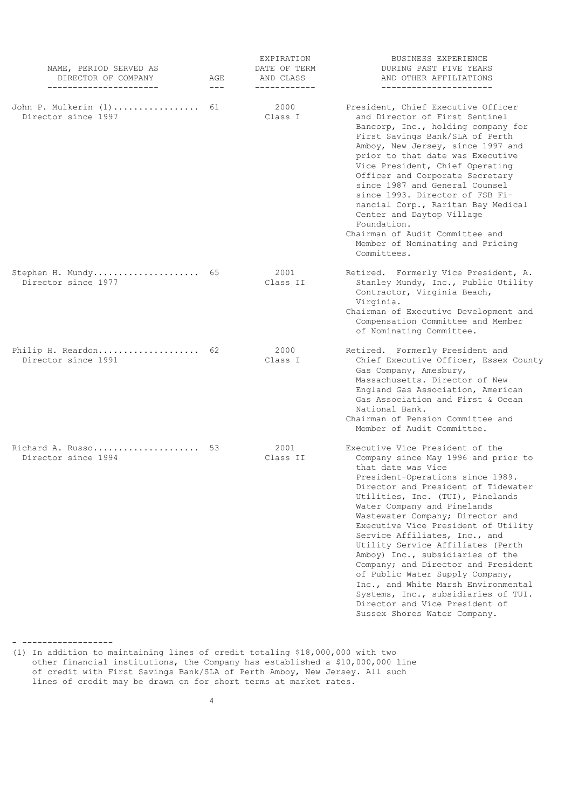| NAME, PERIOD SERVED AS<br>DIRECTOR OF COMPANY<br>----------------------- | AGE<br>$---$ | <b>EXPIRATION</b><br>DATE OF TERM<br>AND CLASS<br>------------ | <b>BUSINESS EXPERIENCE</b><br>DURING PAST FIVE YEARS<br>AND OTHER AFFILIATIONS<br>_______________________                                                                                                                                                                                                                                                                                                                                                                                                                                                                                                                                                 |
|--------------------------------------------------------------------------|--------------|----------------------------------------------------------------|-----------------------------------------------------------------------------------------------------------------------------------------------------------------------------------------------------------------------------------------------------------------------------------------------------------------------------------------------------------------------------------------------------------------------------------------------------------------------------------------------------------------------------------------------------------------------------------------------------------------------------------------------------------|
| John P. Mulkerin (1)<br>Director since 1997                              | 61           | 2000<br>Class I                                                | President, Chief Executive Officer<br>and Director of First Sentinel<br>Bancorp, Inc., holding company for<br>First Savings Bank/SLA of Perth<br>Amboy, New Jersey, since 1997 and<br>prior to that date was Executive<br>Vice President, Chief Operating<br>Officer and Corporate Secretary<br>since 1987 and General Counsel<br>since 1993. Director of FSB Fi-<br>nancial Corp., Raritan Bay Medical<br>Center and Daytop Village<br>Foundation.<br>Chairman of Audit Committee and<br>Member of Nominating and Pricing<br>Committees.                                                                                                                 |
| Stephen H. Mundy 65<br>Director since 1977                               |              | 2001<br>Class II                                               | Retired. Formerly Vice President, A.<br>Stanley Mundy, Inc., Public Utility<br>Contractor, Virginia Beach,<br>Virginia.<br>Chairman of Executive Development and<br>Compensation Committee and Member<br>of Nominating Committee.                                                                                                                                                                                                                                                                                                                                                                                                                         |
| Philip H. Reardon<br>Director since 1991                                 | 62           | 2000<br>Class I                                                | Retired. Formerly President and<br>Chief Executive Officer, Essex County<br>Gas Company, Amesbury,<br>Massachusetts. Director of New<br>England Gas Association, American<br>Gas Association and First & Ocean<br>National Bank.<br>Chairman of Pension Committee and<br>Member of Audit Committee.                                                                                                                                                                                                                                                                                                                                                       |
| Richard A. Russo<br>Director since 1994                                  | 53           | 2001<br>Class II                                               | Executive Vice President of the<br>Company since May 1996 and prior to<br>that date was Vice<br>President-Operations since 1989.<br>Director and President of Tidewater<br>Utilities, Inc. (TUI), Pinelands<br>Water Company and Pinelands<br>Wastewater Company; Director and<br>Executive Vice President of Utility<br>Service Affiliates, Inc., and<br>Utility Service Affiliates (Perth<br>Amboy) Inc., subsidiaries of the<br>Company; and Director and President<br>of Public Water Supply Company,<br>Inc., and White Marsh Environmental<br>Systems, Inc., subsidiaries of TUI.<br>Director and Vice President of<br>Sussex Shores Water Company. |

- ------------------

(1) In addition to maintaining lines of credit totaling \$18,000,000 with two other financial institutions, the Company has established a \$10,000,000 line of credit with First Savings Bank/SLA of Perth Amboy, New Jersey. All such lines of credit may be drawn on for short terms at market rates.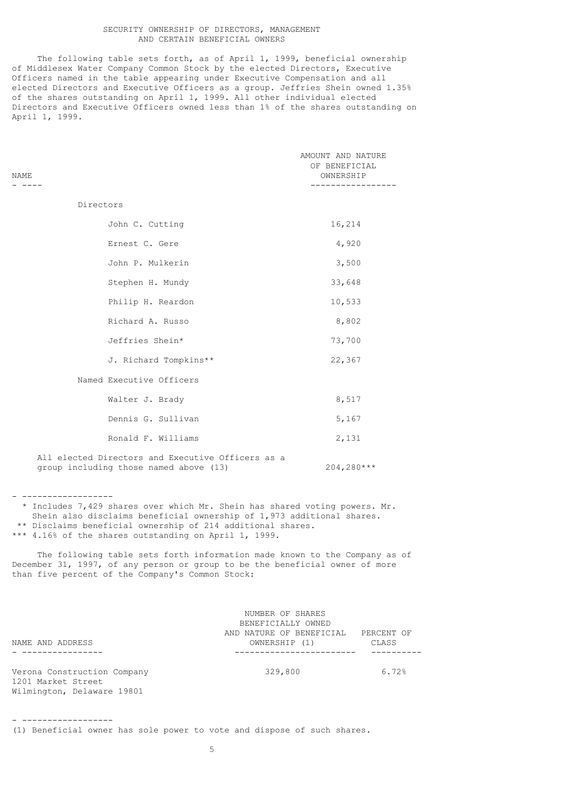### SECURITY OWNERSHIP OF DIRECTORS, MANAGEMENT AND CERTAIN BENEFICIAL OWNERS

 The following table sets forth, as of April 1, 1999, beneficial ownership of Middlesex Water Company Common Stock by the elected Directors, Executive Officers named in the table appearing under Executive Compensation and all elected Directors and Executive Officers as a group. Jeffries Shein owned 1.35% of the shares outstanding on April 1, 1999. All other individual elected Directors and Executive Officers owned less than 1% of the shares outstanding on April 1, 1999.

|      | ---------------   |
|------|-------------------|
| NAME | OWNERSHIP         |
|      | OF BENEFICIAL     |
|      | AMOUNT AND NATURE |
|      |                   |

- ------------------

- ------------------

| John C. Cutting                                | 16,214 |
|------------------------------------------------|--------|
| Ernest C. Gere                                 | 4,920  |
| John P. Mulkerin                               | 3,500  |
| Stephen H. Mundy                               | 33,648 |
| Philip H. Reardon                              | 10,533 |
| Richard A. Russo                               | 8,802  |
| Jeffries Shein*                                | 73,700 |
| J. Richard Tompkins**                          | 22,367 |
| Named Executive Officers                       |        |
| Walter J. Brady                                | 8,517  |
| Dennis G. Sullivan                             | 5,167  |
| Ronald F. Williams                             | 2,131  |
| 511 alaakad bilaakada add miladiil offisada aa |        |

 All elected Directors and Executive Officers as a group including those named above (13) 204,280\*\*\*

 \* Includes 7,429 shares over which Mr. Shein has shared voting powers. Mr. Shein also disclaims beneficial ownership of 1,973 additional shares. \*\* Disclaims beneficial ownership of 214 additional shares. \*\*\* 4.16% of the shares outstanding on April 1, 1999.

 The following table sets forth information made known to the Company as of December 31, 1997, of any person or group to be the beneficial owner of more than five percent of the Company's Common Stock:

|                             | NUMBER OF SHARES         |            |
|-----------------------------|--------------------------|------------|
|                             | BENEFICIALLY OWNED       |            |
|                             | AND NATURE OF BENEFICIAL | PERCENT OF |
| NAME AND ADDRESS            | OWNERSHIP (1)            | CLASS      |
|                             |                          |            |
|                             |                          |            |
| Verona Construction Company | 329,800                  | 6.72%      |
| 1201 Market Street          |                          |            |
| Wilmington, Delaware 19801  |                          |            |

(1) Beneficial owner has sole power to vote and dispose of such shares.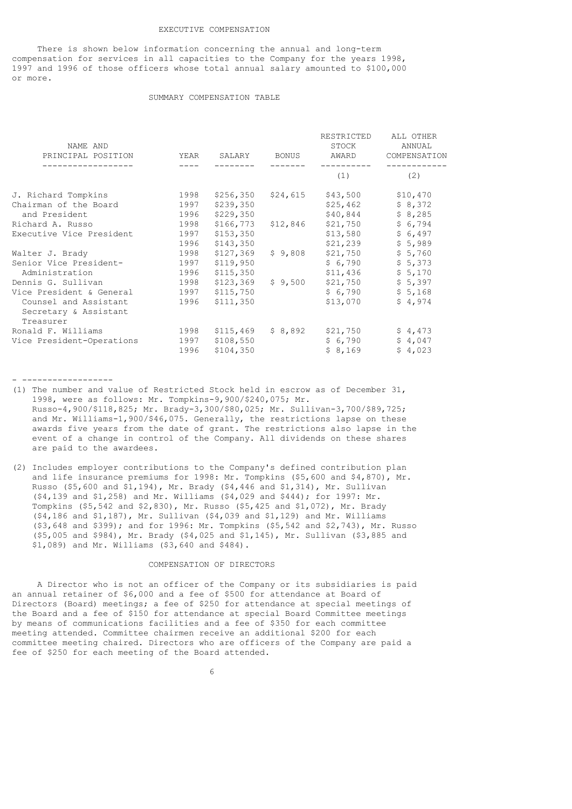#### EXECUTIVE COMPENSATION

 There is shown below information concerning the annual and long-term compensation for services in all capacities to the Company for the years 1998, 1997 and 1996 of those officers whose total annual salary amounted to \$100,000 or more.

### SUMMARY COMPENSATION TABLE

| NAME AND<br>PRINCIPAL POSITION | YEAR | SALARY    | <b>BONUS</b> | RESTRICTED<br>STOCK<br>AWARD | ALL OTHER<br>ANNUAL<br>COMPENSATION |
|--------------------------------|------|-----------|--------------|------------------------------|-------------------------------------|
|                                |      |           |              | (1)                          | (2)                                 |
| J. Richard Tompkins            | 1998 | \$256,350 | \$24,615     | \$43,500                     | \$10,470                            |
| Chairman of the Board          | 1997 | \$239,350 |              | \$25,462                     | \$8,372                             |
| and President                  | 1996 | \$229,350 |              | \$40,844                     | \$8,285                             |
| Richard A. Russo               | 1998 | \$166,773 | \$12,846     | \$21,750                     | \$6,794                             |
| Executive Vice President       | 1997 | \$153,350 |              | \$13,580                     | \$6,497                             |
|                                | 1996 | \$143,350 |              | \$21,239                     | \$5,989                             |
| Walter J. Brady                | 1998 | \$127,369 | \$9,808      | \$21,750                     | \$5,760                             |
| Senior Vice President-         | 1997 | \$119,950 |              | \$6,790                      | \$5,373                             |
| Administration                 | 1996 | \$115,350 |              | \$11,436                     | \$5,170                             |
| Dennis G. Sullivan             | 1998 | \$123,369 | \$9,500      | \$21,750                     | \$5,397                             |
| Vice President & General       | 1997 | \$115,750 |              | \$6,790                      | \$5,168                             |
| Counsel and Assistant          | 1996 | \$111,350 |              | \$13,070                     | \$4,974                             |
| Secretary & Assistant          |      |           |              |                              |                                     |
| Treasurer                      |      |           |              |                              |                                     |
| Ronald F. Williams             | 1998 | \$115,469 | \$8,892      | \$21,750                     | \$4,473                             |
| Vice President-Operations      | 1997 | \$108,550 |              | \$6,790                      | \$4,047                             |
|                                | 1996 | \$104,350 |              | \$8,169                      | \$4,023                             |
|                                |      |           |              |                              |                                     |

(1) The number and value of Restricted Stock held in escrow as of December 31, 1998, were as follows: Mr. Tompkins-9,900/\$240,075; Mr. Russo-4,900/\$118,825; Mr. Brady-3,300/\$80,025; Mr. Sullivan-3,700/\$89,725; and Mr. Williams-1,900/\$46,075. Generally, the restrictions lapse on these awards five years from the date of grant. The restrictions also lapse in the event of a change in control of the Company. All dividends on these shares are paid to the awardees.

- ------------------

(2) Includes employer contributions to the Company's defined contribution plan and life insurance premiums for 1998: Mr. Tompkins (\$5,600 and \$4,870), Mr. Russo (\$5,600 and \$1,194), Mr. Brady (\$4,446 and \$1,314), Mr. Sullivan (\$4,139 and \$1,258) and Mr. Williams (\$4,029 and \$444); for 1997: Mr. Tompkins (\$5,542 and \$2,830), Mr. Russo (\$5,425 and \$1,072), Mr. Brady (\$4,186 and \$1,187), Mr. Sullivan (\$4,039 and \$1,129) and Mr. Williams (\$3,648 and \$399); and for 1996: Mr. Tompkins (\$5,542 and \$2,743), Mr. Russo (\$5,005 and \$984), Mr. Brady (\$4,025 and \$1,145), Mr. Sullivan (\$3,885 and \$1,089) and Mr. Williams (\$3,640 and \$484).

### COMPENSATION OF DIRECTORS

 A Director who is not an officer of the Company or its subsidiaries is paid an annual retainer of \$6,000 and a fee of \$500 for attendance at Board of Directors (Board) meetings; a fee of \$250 for attendance at special meetings of the Board and a fee of \$150 for attendance at special Board Committee meetings by means of communications facilities and a fee of \$350 for each committee meeting attended. Committee chairmen receive an additional \$200 for each committee meeting chaired. Directors who are officers of the Company are paid a fee of \$250 for each meeting of the Board attended.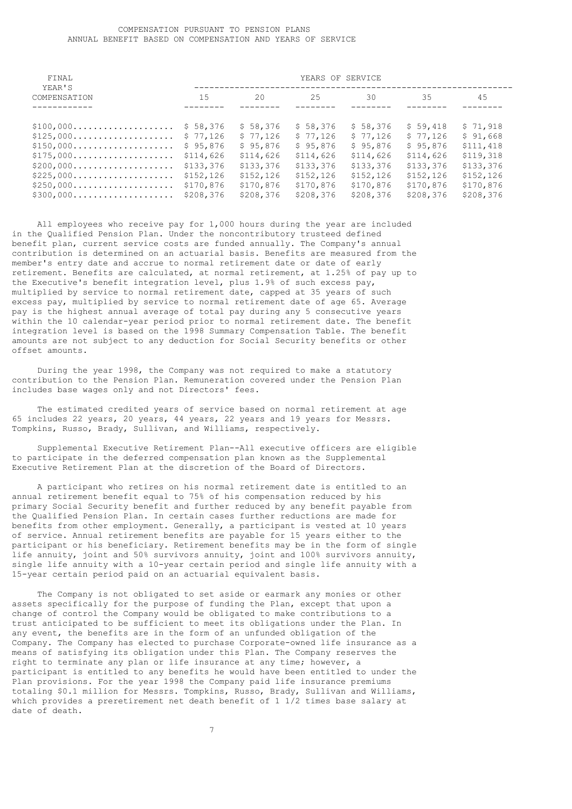### COMPENSATION PURSUANT TO PENSION PLANS ANNUAL BENEFIT BASED ON COMPENSATION AND YEARS OF SERVICE

| YEARS OF SERVICE         |            |            |            |            |           |
|--------------------------|------------|------------|------------|------------|-----------|
| 15                       | 20         | 25         | 30         | 35         | 45        |
| \$58,376                 | \$58,376   | \$58,376   | \$58,376   | \$59,418   | \$71,918  |
| \$77,126                 | \$77,126   | \$77,126   | \$77,126   | \$77,126   | \$91,668  |
| \$95,876                 | \$95,876   | \$95,876   | \$95,876   | \$95,876   | \$111,418 |
| \$114,626                | \$114,626  | \$114,626  | \$114,626  | \$114,626  | \$119,318 |
| \$133,376                | \$133,376  | \$133,376  | \$133,376  | \$133,376  | \$133,376 |
| \$152, 126               | \$152, 126 | \$152, 126 | \$152, 126 | \$152, 126 | \$152,126 |
| \$170,876                | \$170,876  | \$170,876  | \$170,876  | \$170,876  | \$170,876 |
| \$208,376                | \$208,376  | \$208,376  | \$208,376  | \$208,376  | \$208,376 |
| $$100,000$<br>$$125,000$ |            |            |            |            |           |

 All employees who receive pay for 1,000 hours during the year are included in the Qualified Pension Plan. Under the noncontributory trusteed defined benefit plan, current service costs are funded annually. The Company's annual contribution is determined on an actuarial basis. Benefits are measured from the member's entry date and accrue to normal retirement date or date of early retirement. Benefits are calculated, at normal retirement, at 1.25% of pay up to the Executive's benefit integration level, plus 1.9% of such excess pay, multiplied by service to normal retirement date, capped at 35 years of such excess pay, multiplied by service to normal retirement date of age 65. Average pay is the highest annual average of total pay during any 5 consecutive years within the 10 calendar-year period prior to normal retirement date. The benefit integration level is based on the 1998 Summary Compensation Table. The benefit amounts are not subject to any deduction for Social Security benefits or other offset amounts.

 During the year 1998, the Company was not required to make a statutory contribution to the Pension Plan. Remuneration covered under the Pension Plan includes base wages only and not Directors' fees.

 The estimated credited years of service based on normal retirement at age 65 includes 22 years, 20 years, 44 years, 22 years and 19 years for Messrs. Tompkins, Russo, Brady, Sullivan, and Williams, respectively.

 Supplemental Executive Retirement Plan--All executive officers are eligible to participate in the deferred compensation plan known as the Supplemental Executive Retirement Plan at the discretion of the Board of Directors.

 A participant who retires on his normal retirement date is entitled to an annual retirement benefit equal to 75% of his compensation reduced by his primary Social Security benefit and further reduced by any benefit payable from the Qualified Pension Plan. In certain cases further reductions are made for benefits from other employment. Generally, a participant is vested at 10 years of service. Annual retirement benefits are payable for 15 years either to the participant or his beneficiary. Retirement benefits may be in the form of single life annuity, joint and 50% survivors annuity, joint and 100% survivors annuity, single life annuity with a 10-year certain period and single life annuity with a 15-year certain period paid on an actuarial equivalent basis.

 The Company is not obligated to set aside or earmark any monies or other assets specifically for the purpose of funding the Plan, except that upon a change of control the Company would be obligated to make contributions to a trust anticipated to be sufficient to meet its obligations under the Plan. In any event, the benefits are in the form of an unfunded obligation of the Company. The Company has elected to purchase Corporate-owned life insurance as a means of satisfying its obligation under this Plan. The Company reserves the right to terminate any plan or life insurance at any time; however, a participant is entitled to any benefits he would have been entitled to under the Plan provisions. For the year 1998 the Company paid life insurance premiums totaling \$0.1 million for Messrs. Tompkins, Russo, Brady, Sullivan and Williams, which provides a preretirement net death benefit of 1 1/2 times base salary at date of death.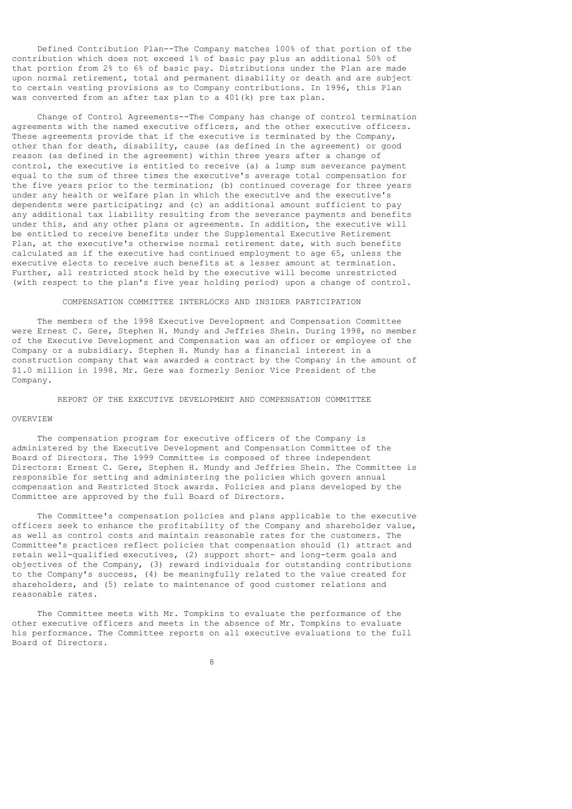Defined Contribution Plan--The Company matches 100% of that portion of the contribution which does not exceed 1% of basic pay plus an additional 50% of that portion from 2% to 6% of basic pay. Distributions under the Plan are made upon normal retirement, total and permanent disability or death and are subject to certain vesting provisions as to Company contributions. In 1996, this Plan was converted from an after tax plan to a 401(k) pre tax plan.

 Change of Control Agreements--The Company has change of control termination agreements with the named executive officers, and the other executive officers. These agreements provide that if the executive is terminated by the Company, other than for death, disability, cause (as defined in the agreement) or good reason (as defined in the agreement) within three years after a change of control, the executive is entitled to receive (a) a lump sum severance payment equal to the sum of three times the executive's average total compensation for the five years prior to the termination; (b) continued coverage for three years under any health or welfare plan in which the executive and the executive's dependents were participating; and (c) an additional amount sufficient to pay any additional tax liability resulting from the severance payments and benefits under this, and any other plans or agreements. In addition, the executive will be entitled to receive benefits under the Supplemental Executive Retirement Plan, at the executive's otherwise normal retirement date, with such benefits calculated as if the executive had continued employment to age 65, unless the executive elects to receive such benefits at a lesser amount at termination. Further, all restricted stock held by the executive will become unrestricted (with respect to the plan's five year holding period) upon a change of control.

### COMPENSATION COMMITTEE INTERLOCKS AND INSIDER PARTICIPATION

 The members of the 1998 Executive Development and Compensation Committee were Ernest C. Gere, Stephen H. Mundy and Jeffries Shein. During 1998, no member of the Executive Development and Compensation was an officer or employee of the Company or a subsidiary. Stephen H. Mundy has a financial interest in a construction company that was awarded a contract by the Company in the amount of \$1.0 million in 1998. Mr. Gere was formerly Senior Vice President of the Company.

REPORT OF THE EXECUTIVE DEVELOPMENT AND COMPENSATION COMMITTEE

#### OVERVIEW

 The compensation program for executive officers of the Company is administered by the Executive Development and Compensation Committee of the Board of Directors. The 1999 Committee is composed of three independent Directors: Ernest C. Gere, Stephen H. Mundy and Jeffries Shein. The Committee is responsible for setting and administering the policies which govern annual compensation and Restricted Stock awards. Policies and plans developed by the Committee are approved by the full Board of Directors.

 The Committee's compensation policies and plans applicable to the executive officers seek to enhance the profitability of the Company and shareholder value, as well as control costs and maintain reasonable rates for the customers. The Committee's practices reflect policies that compensation should (1) attract and retain well-qualified executives, (2) support short- and long-term goals and objectives of the Company, (3) reward individuals for outstanding contributions to the Company's success, (4) be meaningfully related to the value created for shareholders, and (5) relate to maintenance of good customer relations and reasonable rates.

 The Committee meets with Mr. Tompkins to evaluate the performance of the other executive officers and meets in the absence of Mr. Tompkins to evaluate his performance. The Committee reports on all executive evaluations to the full Board of Directors.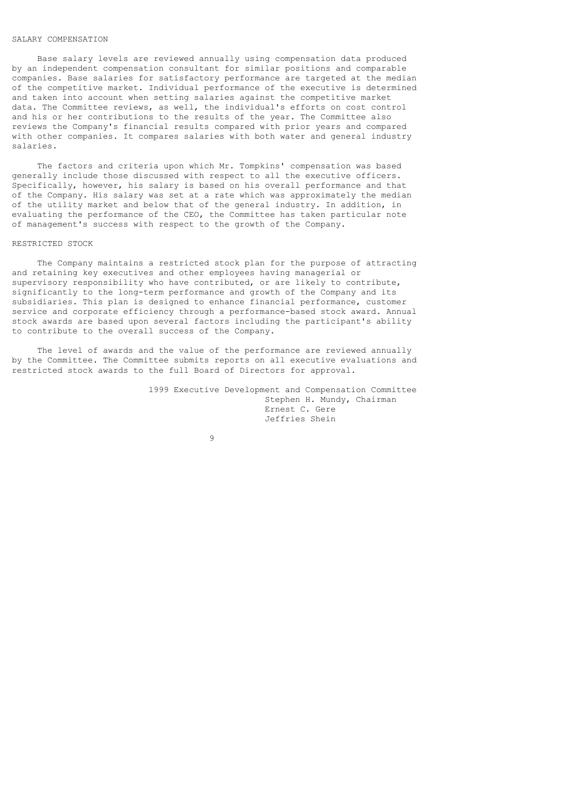# SALARY COMPENSATION

 Base salary levels are reviewed annually using compensation data produced by an independent compensation consultant for similar positions and comparable companies. Base salaries for satisfactory performance are targeted at the median of the competitive market. Individual performance of the executive is determined and taken into account when setting salaries against the competitive market data. The Committee reviews, as well, the individual's efforts on cost control and his or her contributions to the results of the year. The Committee also reviews the Company's financial results compared with prior years and compared with other companies. It compares salaries with both water and general industry salaries.

 The factors and criteria upon which Mr. Tompkins' compensation was based generally include those discussed with respect to all the executive officers. Specifically, however, his salary is based on his overall performance and that of the Company. His salary was set at a rate which was approximately the median of the utility market and below that of the general industry. In addition, in evaluating the performance of the CEO, the Committee has taken particular note of management's success with respect to the growth of the Company.

### RESTRICTED STOCK

 The Company maintains a restricted stock plan for the purpose of attracting and retaining key executives and other employees having managerial or supervisory responsibility who have contributed, or are likely to contribute, significantly to the long-term performance and growth of the Company and its subsidiaries. This plan is designed to enhance financial performance, customer service and corporate efficiency through a performance-based stock award. Annual stock awards are based upon several factors including the participant's ability to contribute to the overall success of the Company.

 The level of awards and the value of the performance are reviewed annually by the Committee. The Committee submits reports on all executive evaluations and restricted stock awards to the full Board of Directors for approval.

> 1999 Executive Development and Compensation Committee Stephen H. Mundy, Chairman Ernest C. Gere Jeffries Shein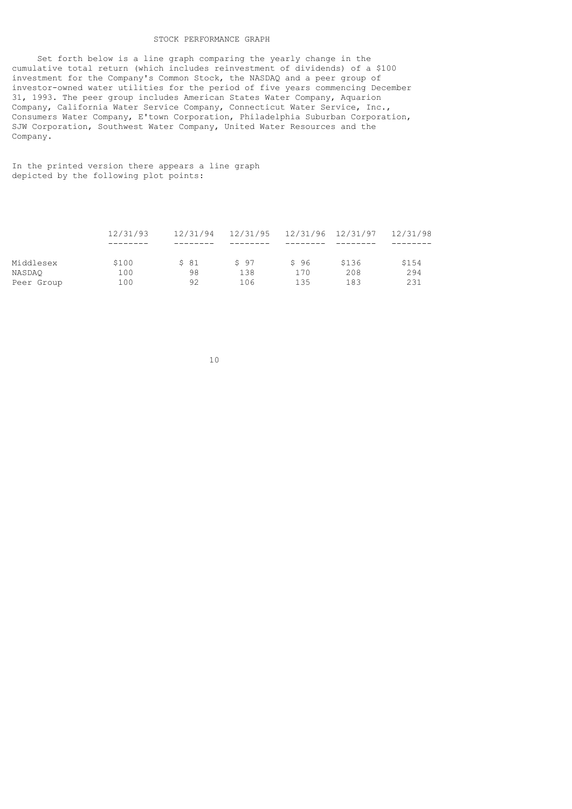# STOCK PERFORMANCE GRAPH

 Set forth below is a line graph comparing the yearly change in the cumulative total return (which includes reinvestment of dividends) of a \$100 investment for the Company's Common Stock, the NASDAQ and a peer group of investor-owned water utilities for the period of five years commencing December 31, 1993. The peer group includes American States Water Company, Aquarion Company, California Water Service Company, Connecticut Water Service, Inc., Consumers Water Company, E'town Corporation, Philadelphia Suburban Corporation, SJW Corporation, Southwest Water Company, United Water Resources and the Company.

In the printed version there appears a line graph depicted by the following plot points:

|            | 12/31/93 | 12/31/94 | 12/31/95 |      | 12/31/96 12/31/97 | 12/31/98 |
|------------|----------|----------|----------|------|-------------------|----------|
|            |          |          |          |      |                   |          |
| Middlesex  | \$100    | \$81     | \$97     | S 96 | \$136             | \$154    |
| NASDAO     | 100      | 98       | 138      | 170  | 208               | 294      |
| Peer Group | 100      | 92       | 106      | 135  | 183               | 231      |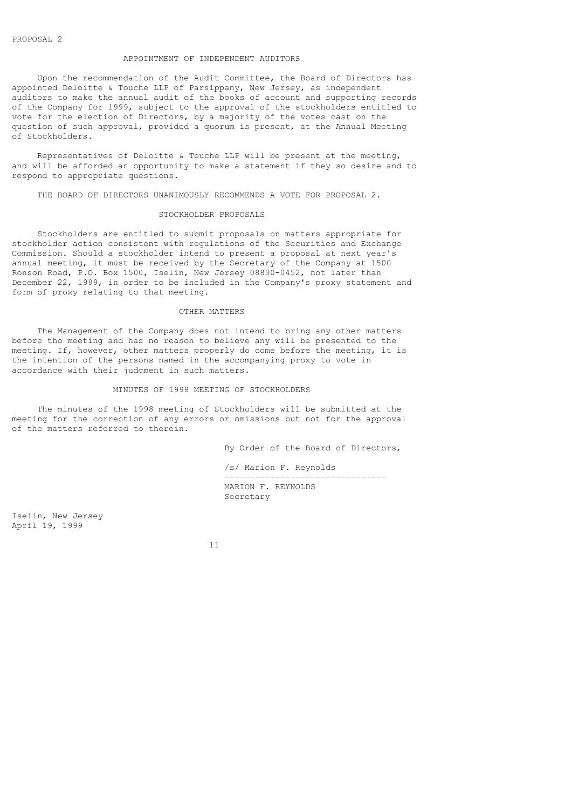# APPOINTMENT OF INDEPENDENT AUDITORS

 Upon the recommendation of the Audit Committee, the Board of Directors has appointed Deloitte & Touche LLP of Parsippany, New Jersey, as independent auditors to make the annual audit of the books of account and supporting records of the Company for 1999, subject to the approval of the stockholders entitled to vote for the election of Directors, by a majority of the votes cast on the question of such approval, provided a quorum is present, at the Annual Meeting of Stockholders.

 Representatives of Deloitte & Touche LLP will be present at the meeting, and will be afforded an opportunity to make a statement if they so desire and to respond to appropriate questions.

THE BOARD OF DIRECTORS UNANIMOUSLY RECOMMENDS A VOTE FOR PROPOSAL 2.

## STOCKHOLDER PROPOSALS

 Stockholders are entitled to submit proposals on matters appropriate for stockholder action consistent with regulations of the Securities and Exchange Commission. Should a stockholder intend to present a proposal at next year's annual meeting, it must be received by the Secretary of the Company at 1500 Ronson Road, P.O. Box 1500, Iselin, New Jersey 08830-0452, not later than December 22, 1999, in order to be included in the Company's proxy statement and form of proxy relating to that meeting.

#### OTHER MATTERS

 The Management of the Company does not intend to bring any other matters before the meeting and has no reason to believe any will be presented to the meeting. If, however, other matters properly do come before the meeting, it is the intention of the persons named in the accompanying proxy to vote in accordance with their judgment in such matters.

#### MINUTES OF 1998 MEETING OF STOCKHOLDERS

 The minutes of the 1998 meeting of Stockholders will be submitted at the meeting for the correction of any errors or omissions but not for the approval of the matters referred to therein.

By Order of the Board of Directors,

 /s/ Marion F. Reynolds -------------------------------- MARION F. REYNOLDS Secretary

Iselin, New Jersey April 19, 1999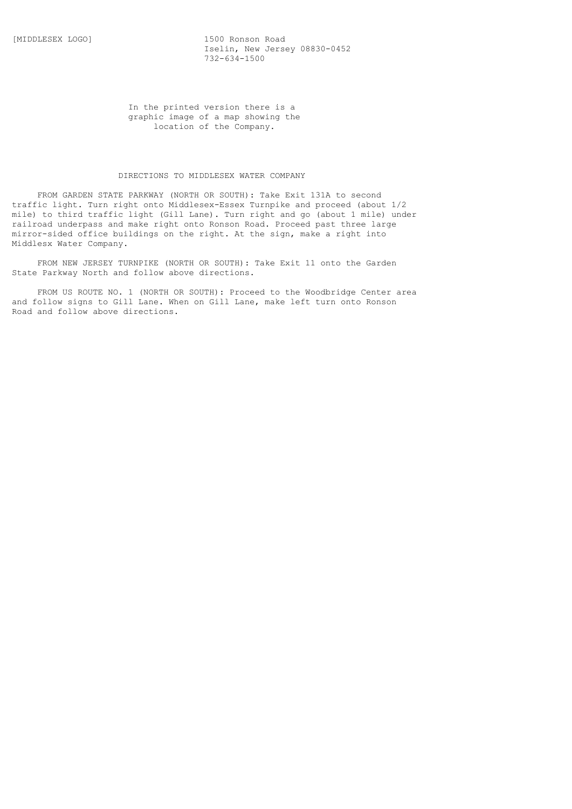[MIDDLESEX LOGO] 1500 Ronson Road Iselin, New Jersey 08830-0452 732-634-1500

> In the printed version there is a graphic image of a map showing the location of the Company.

# DIRECTIONS TO MIDDLESEX WATER COMPANY

 FROM GARDEN STATE PARKWAY (NORTH OR SOUTH): Take Exit 131A to second traffic light. Turn right onto Middlesex-Essex Turnpike and proceed (about 1/2 mile) to third traffic light (Gill Lane). Turn right and go (about 1 mile) under railroad underpass and make right onto Ronson Road. Proceed past three large mirror-sided office buildings on the right. At the sign, make a right into Middlesx Water Company.

 FROM NEW JERSEY TURNPIKE (NORTH OR SOUTH): Take Exit 11 onto the Garden State Parkway North and follow above directions.

 FROM US ROUTE NO. 1 (NORTH OR SOUTH): Proceed to the Woodbridge Center area and follow signs to Gill Lane. When on Gill Lane, make left turn onto Ronson Road and follow above directions.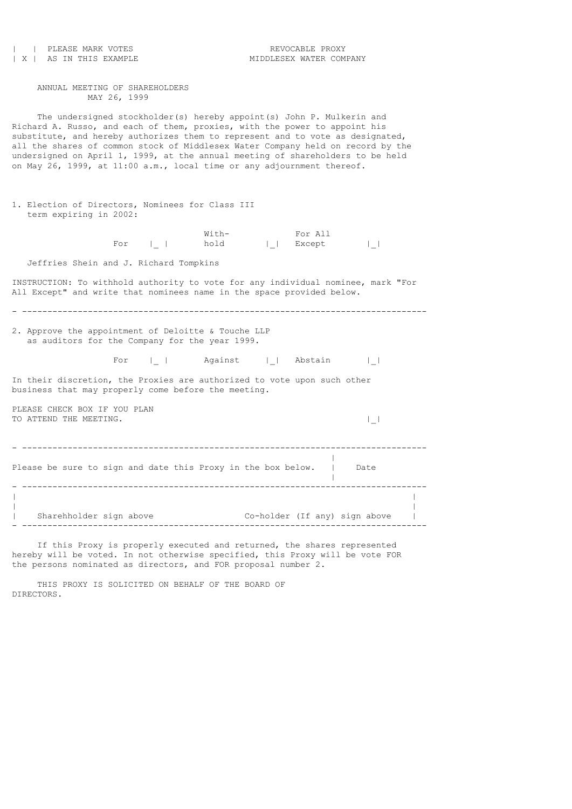| PLEASE MARK VOTES<br>  X   AS IN THIS EXAMPLE                                                                                                                                                                                                                                                                                                                                                                                                                                        | REVOCABLE PROXY<br>MIDDLESEX WATER COMPANY |
|--------------------------------------------------------------------------------------------------------------------------------------------------------------------------------------------------------------------------------------------------------------------------------------------------------------------------------------------------------------------------------------------------------------------------------------------------------------------------------------|--------------------------------------------|
| ANNUAL MEETING OF SHAREHOLDERS<br>MAY 26, 1999                                                                                                                                                                                                                                                                                                                                                                                                                                       |                                            |
| The undersigned stockholder(s) hereby appoint(s) John P. Mulkerin and<br>Richard A. Russo, and each of them, proxies, with the power to appoint his<br>substitute, and hereby authorizes them to represent and to vote as designated,<br>all the shares of common stock of Middlesex Water Company held on record by the<br>undersigned on April 1, 1999, at the annual meeting of shareholders to be held<br>on May 26, 1999, at 11:00 a.m., local time or any adjournment thereof. |                                            |
| 1. Election of Directors, Nominees for Class III<br>term expiring in 2002:                                                                                                                                                                                                                                                                                                                                                                                                           |                                            |
| With-<br>For $I_{-}$   hold                                                                                                                                                                                                                                                                                                                                                                                                                                                          | For All<br>    Except<br>$\Box$            |
| Jeffries Shein and J. Richard Tompkins                                                                                                                                                                                                                                                                                                                                                                                                                                               |                                            |
| INSTRUCTION: To withhold authority to vote for any individual nominee, mark "For<br>All Except" and write that nominees name in the space provided below.<br>2. Approve the appointment of Deloitte & Touche LLP<br>as auditors for the Company for the year 1999.                                                                                                                                                                                                                   |                                            |
|                                                                                                                                                                                                                                                                                                                                                                                                                                                                                      | For     Against     Abstain                |
| In their discretion, the Proxies are authorized to vote upon such other<br>business that may properly come before the meeting.                                                                                                                                                                                                                                                                                                                                                       |                                            |
| PLEASE CHECK BOX IF YOU PLAN<br>TO ATTEND THE MEETING.                                                                                                                                                                                                                                                                                                                                                                                                                               | $\vert \ \ \vert$                          |
| Please be sure to sign and date this Proxy in the box below.   Date<br>________________________________                                                                                                                                                                                                                                                                                                                                                                              |                                            |
| Sharehholder sign above<br>---------------------                                                                                                                                                                                                                                                                                                                                                                                                                                     | Co-holder (If any) sign above              |

If this Proxy is properly executed and returned, the shares represented hereby will be voted. In not otherwise specified, this Proxy will be vote FOR the persons nominated as directors, and FOR proposal number 2.

 THIS PROXY IS SOLICITED ON BEHALF OF THE BOARD OF DIRECTORS.